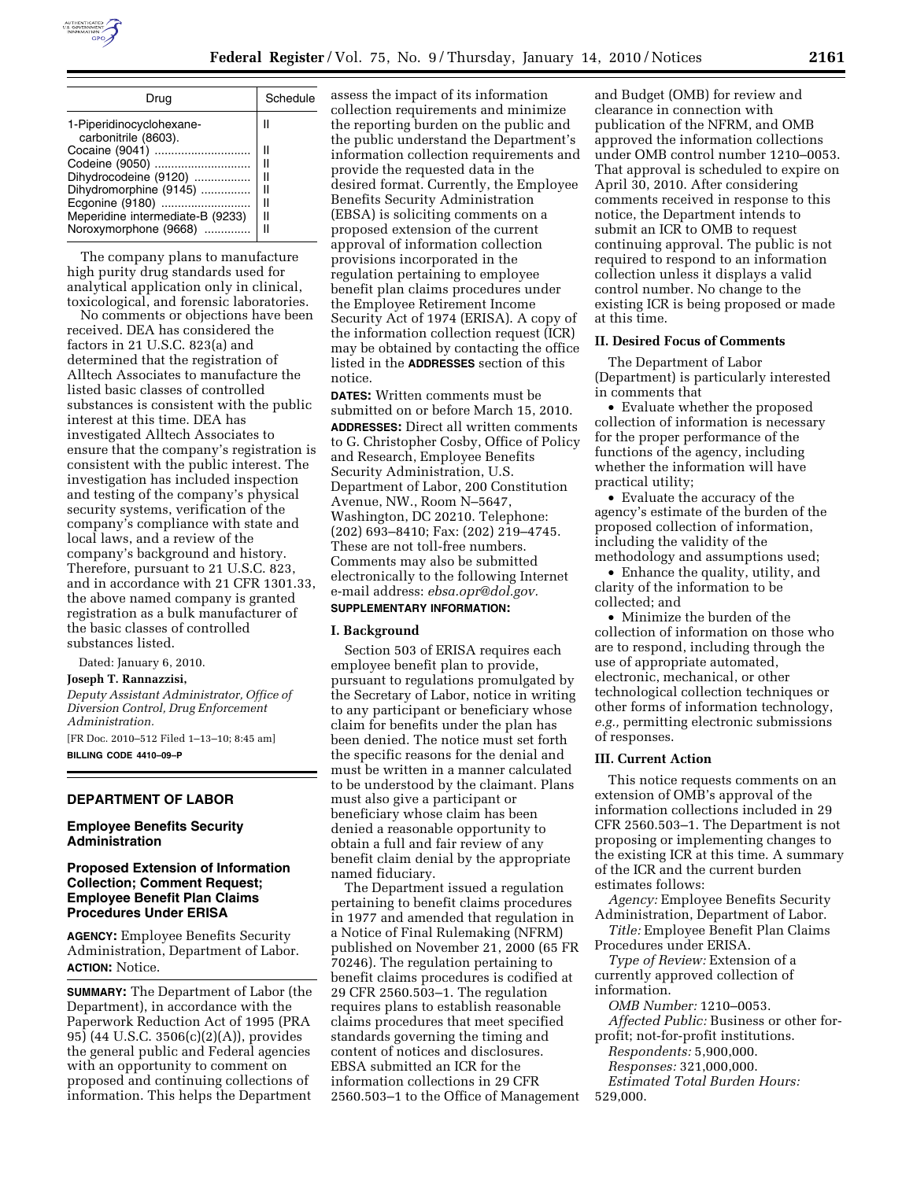

| Drug                                             | Schedule |  |
|--------------------------------------------------|----------|--|
| 1-Piperidinocyclohexane-<br>carbonitrile (8603). |          |  |
| Cocaine (9041)                                   |          |  |
| Codeine (9050)                                   | Ш        |  |
| Dihydrocodeine (9120)<br>Dihydromorphine (9145)  | н<br>н   |  |
| Ecgonine (9180)                                  |          |  |
| Meperidine intermediate-B (9233)                 | II       |  |
| Noroxymorphone (9668)                            |          |  |

The company plans to manufacture high purity drug standards used for analytical application only in clinical, toxicological, and forensic laboratories.

No comments or objections have been received. DEA has considered the factors in 21 U.S.C. 823(a) and determined that the registration of Alltech Associates to manufacture the listed basic classes of controlled substances is consistent with the public interest at this time. DEA has investigated Alltech Associates to ensure that the company's registration is consistent with the public interest. The investigation has included inspection and testing of the company's physical security systems, verification of the company's compliance with state and local laws, and a review of the company's background and history. Therefore, pursuant to 21 U.S.C. 823, and in accordance with 21 CFR 1301.33, the above named company is granted registration as a bulk manufacturer of the basic classes of controlled substances listed.

Dated: January 6, 2010.

#### **Joseph T. Rannazzisi,**

*Deputy Assistant Administrator, Office of Diversion Control, Drug Enforcement Administration.*  [FR Doc. 2010–512 Filed 1–13–10; 8:45 am] **BILLING CODE 4410–09–P** 

### **DEPARTMENT OF LABOR**

## **Employee Benefits Security Administration**

## **Proposed Extension of Information Collection; Comment Request; Employee Benefit Plan Claims Procedures Under ERISA**

**AGENCY:** Employee Benefits Security Administration, Department of Labor. **ACTION:** Notice.

**SUMMARY:** The Department of Labor (the Department), in accordance with the Paperwork Reduction Act of 1995 (PRA 95) (44 U.S.C. 3506(c)(2)(A)), provides the general public and Federal agencies with an opportunity to comment on proposed and continuing collections of information. This helps the Department assess the impact of its information collection requirements and minimize the reporting burden on the public and the public understand the Department's information collection requirements and provide the requested data in the desired format. Currently, the Employee Benefits Security Administration (EBSA) is soliciting comments on a proposed extension of the current approval of information collection provisions incorporated in the regulation pertaining to employee benefit plan claims procedures under the Employee Retirement Income Security Act of 1974 (ERISA). A copy of the information collection request (ICR) may be obtained by contacting the office listed in the **ADDRESSES** section of this notice.

**DATES:** Written comments must be submitted on or before March 15, 2010. **ADDRESSES:** Direct all written comments to G. Christopher Cosby, Office of Policy and Research, Employee Benefits Security Administration, U.S. Department of Labor, 200 Constitution Avenue, NW., Room N–5647, Washington, DC 20210. Telephone: (202) 693–8410; Fax: (202) 219–4745. These are not toll-free numbers. Comments may also be submitted electronically to the following Internet e-mail address: *ebsa.opr@dol.gov.* 

# **SUPPLEMENTARY INFORMATION:**

#### **I. Background**

Section 503 of ERISA requires each employee benefit plan to provide, pursuant to regulations promulgated by the Secretary of Labor, notice in writing to any participant or beneficiary whose claim for benefits under the plan has been denied. The notice must set forth the specific reasons for the denial and must be written in a manner calculated to be understood by the claimant. Plans must also give a participant or beneficiary whose claim has been denied a reasonable opportunity to obtain a full and fair review of any benefit claim denial by the appropriate named fiduciary.

The Department issued a regulation pertaining to benefit claims procedures in 1977 and amended that regulation in a Notice of Final Rulemaking (NFRM) published on November 21, 2000 (65 FR 70246). The regulation pertaining to benefit claims procedures is codified at 29 CFR 2560.503–1. The regulation requires plans to establish reasonable claims procedures that meet specified standards governing the timing and content of notices and disclosures. EBSA submitted an ICR for the information collections in 29 CFR 2560.503–1 to the Office of Management

and Budget (OMB) for review and clearance in connection with publication of the NFRM, and OMB approved the information collections under OMB control number 1210–0053. That approval is scheduled to expire on April 30, 2010. After considering comments received in response to this notice, the Department intends to submit an ICR to OMB to request continuing approval. The public is not required to respond to an information collection unless it displays a valid control number. No change to the existing ICR is being proposed or made at this time.

### **II. Desired Focus of Comments**

The Department of Labor (Department) is particularly interested in comments that

• Evaluate whether the proposed collection of information is necessary for the proper performance of the functions of the agency, including whether the information will have practical utility;

• Evaluate the accuracy of the agency's estimate of the burden of the proposed collection of information, including the validity of the methodology and assumptions used;

• Enhance the quality, utility, and clarity of the information to be collected; and

• Minimize the burden of the collection of information on those who are to respond, including through the use of appropriate automated, electronic, mechanical, or other technological collection techniques or other forms of information technology, *e.g.,* permitting electronic submissions of responses.

## **III. Current Action**

This notice requests comments on an extension of OMB's approval of the information collections included in 29 CFR 2560.503–1. The Department is not proposing or implementing changes to the existing ICR at this time. A summary of the ICR and the current burden estimates follows:

*Agency:* Employee Benefits Security Administration, Department of Labor.

*Title:* Employee Benefit Plan Claims

Procedures under ERISA. *Type of Review:* Extension of a currently approved collection of

information.

*OMB Number:* 1210–0053. *Affected Public:* Business or other for-

profit; not-for-profit institutions.

*Respondents:* 5,900,000. *Responses:* 321,000,000.

*Estimated Total Burden Hours:* 

529,000.